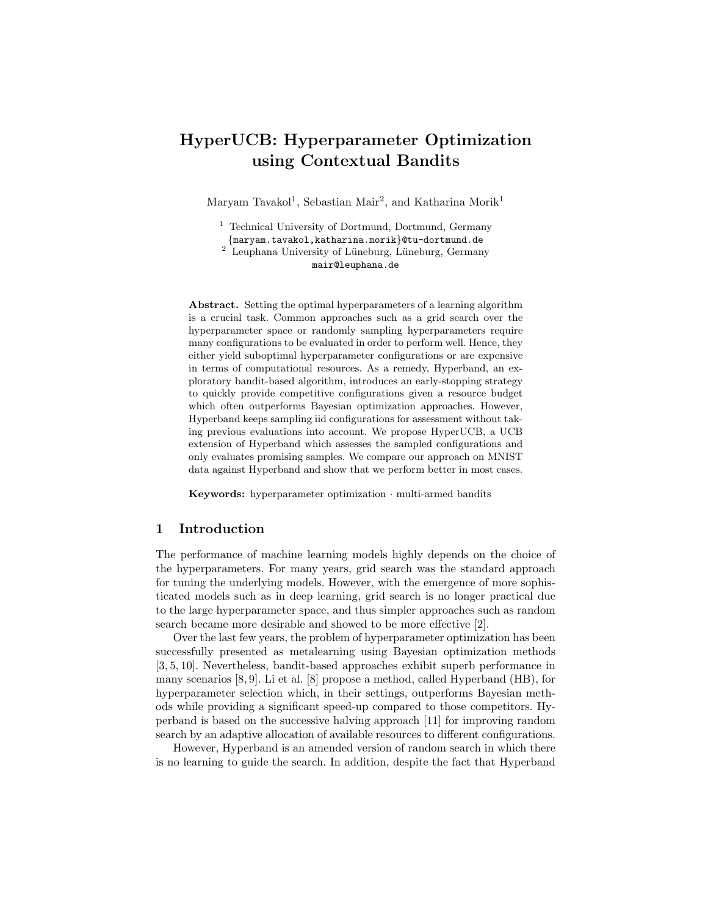# HyperUCB: Hyperparameter Optimization using Contextual Bandits

Maryam Tavakol<sup>1</sup>, Sebastian Mair<sup>2</sup>, and Katharina Morik<sup>1</sup>

<sup>1</sup> Technical University of Dortmund, Dortmund, Germany {maryam.tavakol,katharina.morik}@tu-dortmund.de  $2$  Leuphana University of Lüneburg, Lüneburg, Germany

mair@leuphana.de

Abstract. Setting the optimal hyperparameters of a learning algorithm is a crucial task. Common approaches such as a grid search over the hyperparameter space or randomly sampling hyperparameters require many configurations to be evaluated in order to perform well. Hence, they either yield suboptimal hyperparameter configurations or are expensive in terms of computational resources. As a remedy, Hyperband, an exploratory bandit-based algorithm, introduces an early-stopping strategy to quickly provide competitive configurations given a resource budget which often outperforms Bayesian optimization approaches. However, Hyperband keeps sampling iid configurations for assessment without taking previous evaluations into account. We propose HyperUCB, a UCB extension of Hyperband which assesses the sampled configurations and only evaluates promising samples. We compare our approach on MNIST data against Hyperband and show that we perform better in most cases.

Keywords: hyperparameter optimization · multi-armed bandits

# 1 Introduction

The performance of machine learning models highly depends on the choice of the hyperparameters. For many years, grid search was the standard approach for tuning the underlying models. However, with the emergence of more sophisticated models such as in deep learning, grid search is no longer practical due to the large hyperparameter space, and thus simpler approaches such as random search became more desirable and showed to be more effective [2].

Over the last few years, the problem of hyperparameter optimization has been successfully presented as metalearning using Bayesian optimization methods [3, 5, 10]. Nevertheless, bandit-based approaches exhibit superb performance in many scenarios [8, 9]. Li et al. [8] propose a method, called Hyperband (HB), for hyperparameter selection which, in their settings, outperforms Bayesian methods while providing a significant speed-up compared to those competitors. Hyperband is based on the successive halving approach [11] for improving random search by an adaptive allocation of available resources to different configurations.

However, Hyperband is an amended version of random search in which there is no learning to guide the search. In addition, despite the fact that Hyperband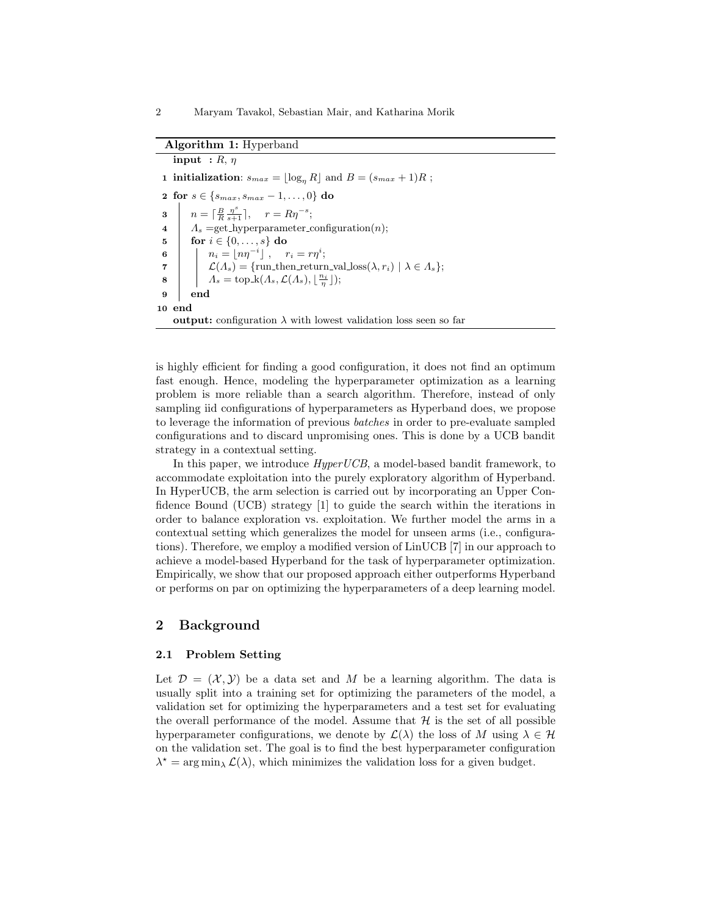#### Algorithm 1: Hyperband

input :  $R, \eta$ 1 initialization:  $s_{max} = |\log_n R|$  and  $B = (s_{max} + 1)R$ ; 2 for  $s \in \{s_{max}, s_{max} - 1, ..., 0\}$  do **3**  $n = \lceil \frac{B}{R} \frac{\eta^s}{s+1} \rceil, \quad r = R \eta^{-s};$ 4  $A_s =$ get\_hyperparameter\_configuration(*n*); 5  $\int$  for  $i \in \{0, ..., s\}$  do 6  $n_i = \lfloor n\eta^{-i} \rfloor$  ,  $r_i = r\eta^i;$ 7  $\mathcal{L}(\Lambda_s) = \{\text{run\_then\_return\_val\_loss}(\lambda, r_i) \mid \lambda \in \Lambda_s\};$  $8 \quad | \quad \big| \quad \Lambda_s = \text{top\_k}( \Lambda_s, \mathcal{L}(\Lambda_s), \lfloor \frac{n_i}{\eta} \rfloor);$ 9 end 10 end output: configuration  $\lambda$  with lowest validation loss seen so far

is highly efficient for finding a good configuration, it does not find an optimum fast enough. Hence, modeling the hyperparameter optimization as a learning problem is more reliable than a search algorithm. Therefore, instead of only sampling iid configurations of hyperparameters as Hyperband does, we propose to leverage the information of previous batches in order to pre-evaluate sampled configurations and to discard unpromising ones. This is done by a UCB bandit strategy in a contextual setting.

In this paper, we introduce *HyperUCB*, a model-based bandit framework, to accommodate exploitation into the purely exploratory algorithm of Hyperband. In HyperUCB, the arm selection is carried out by incorporating an Upper Confidence Bound (UCB) strategy [1] to guide the search within the iterations in order to balance exploration vs. exploitation. We further model the arms in a contextual setting which generalizes the model for unseen arms (i.e., configurations). Therefore, we employ a modified version of LinUCB [7] in our approach to achieve a model-based Hyperband for the task of hyperparameter optimization. Empirically, we show that our proposed approach either outperforms Hyperband or performs on par on optimizing the hyperparameters of a deep learning model.

# 2 Background

#### 2.1 Problem Setting

Let  $\mathcal{D} = (\mathcal{X}, \mathcal{Y})$  be a data set and M be a learning algorithm. The data is usually split into a training set for optimizing the parameters of the model, a validation set for optimizing the hyperparameters and a test set for evaluating the overall performance of the model. Assume that  $H$  is the set of all possible hyperparameter configurations, we denote by  $\mathcal{L}(\lambda)$  the loss of M using  $\lambda \in \mathcal{H}$ on the validation set. The goal is to find the best hyperparameter configuration  $\lambda^* = \arg \min_{\lambda} \mathcal{L}(\lambda)$ , which minimizes the validation loss for a given budget.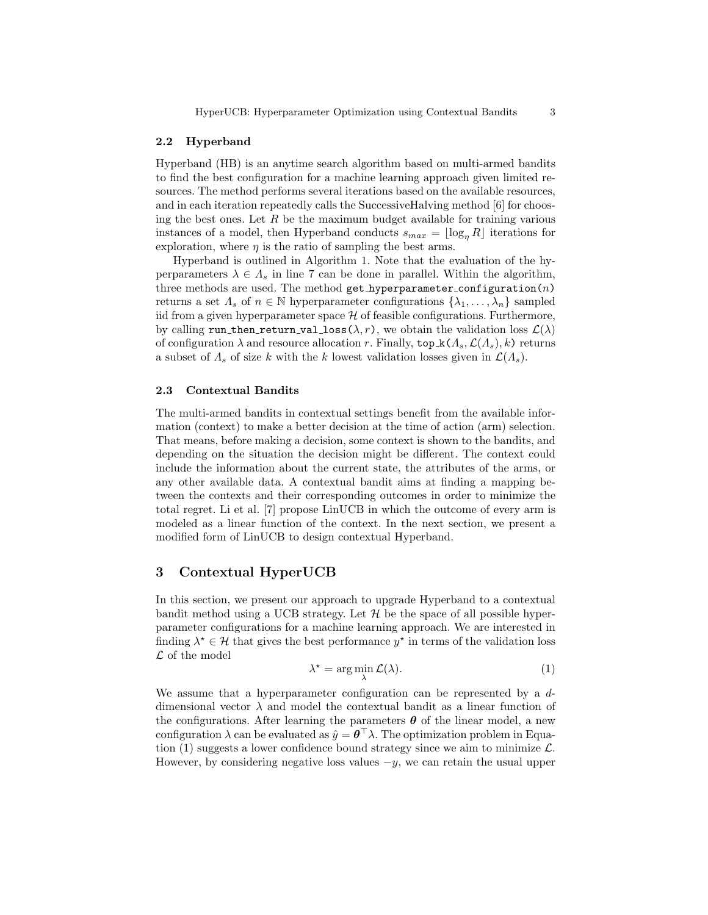#### 2.2 Hyperband

Hyperband (HB) is an anytime search algorithm based on multi-armed bandits to find the best configuration for a machine learning approach given limited resources. The method performs several iterations based on the available resources, and in each iteration repeatedly calls the SuccessiveHalving method [6] for choosing the best ones. Let  $R$  be the maximum budget available for training various instances of a model, then Hyperband conducts  $s_{max} = \lfloor \log_n R \rfloor$  iterations for exploration, where  $\eta$  is the ratio of sampling the best arms.

Hyperband is outlined in Algorithm 1. Note that the evaluation of the hyperparameters  $\lambda \in \Lambda_s$  in line 7 can be done in parallel. Within the algorithm, three methods are used. The method get hyperparameter configuration  $(n)$ returns a set  $\Lambda_s$  of  $n \in \mathbb{N}$  hyperparameter configurations  $\{\lambda_1, \ldots, \lambda_n\}$  sampled iid from a given hyperparameter space  $\mathcal H$  of feasible configurations. Furthermore, by calling run then return val loss  $(\lambda, r)$ , we obtain the validation loss  $\mathcal{L}(\lambda)$ of configuration  $\lambda$  and resource allocation r. Finally,  $\text{top}_k(\Lambda_s, \mathcal{L}(\Lambda_s), k)$  returns a subset of  $\Lambda_s$  of size k with the k lowest validation losses given in  $\mathcal{L}(\Lambda_s)$ .

#### 2.3 Contextual Bandits

The multi-armed bandits in contextual settings benefit from the available information (context) to make a better decision at the time of action (arm) selection. That means, before making a decision, some context is shown to the bandits, and depending on the situation the decision might be different. The context could include the information about the current state, the attributes of the arms, or any other available data. A contextual bandit aims at finding a mapping between the contexts and their corresponding outcomes in order to minimize the total regret. Li et al. [7] propose LinUCB in which the outcome of every arm is modeled as a linear function of the context. In the next section, we present a modified form of LinUCB to design contextual Hyperband.

# 3 Contextual HyperUCB

In this section, we present our approach to upgrade Hyperband to a contextual bandit method using a UCB strategy. Let  $H$  be the space of all possible hyperparameter configurations for a machine learning approach. We are interested in finding  $\lambda^* \in \mathcal{H}$  that gives the best performance  $y^*$  in terms of the validation loss  $\mathcal L$  of the model

$$
\lambda^* = \arg\min_{\lambda} \mathcal{L}(\lambda). \tag{1}
$$

We assume that a hyperparameter configuration can be represented by a ddimensional vector  $\lambda$  and model the contextual bandit as a linear function of the configurations. After learning the parameters  $\boldsymbol{\theta}$  of the linear model, a new configuration  $\lambda$  can be evaluated as  $\hat{y} = \theta^{\top} \lambda$ . The optimization problem in Equation (1) suggests a lower confidence bound strategy since we aim to minimize  $\mathcal{L}$ . However, by considering negative loss values  $-y$ , we can retain the usual upper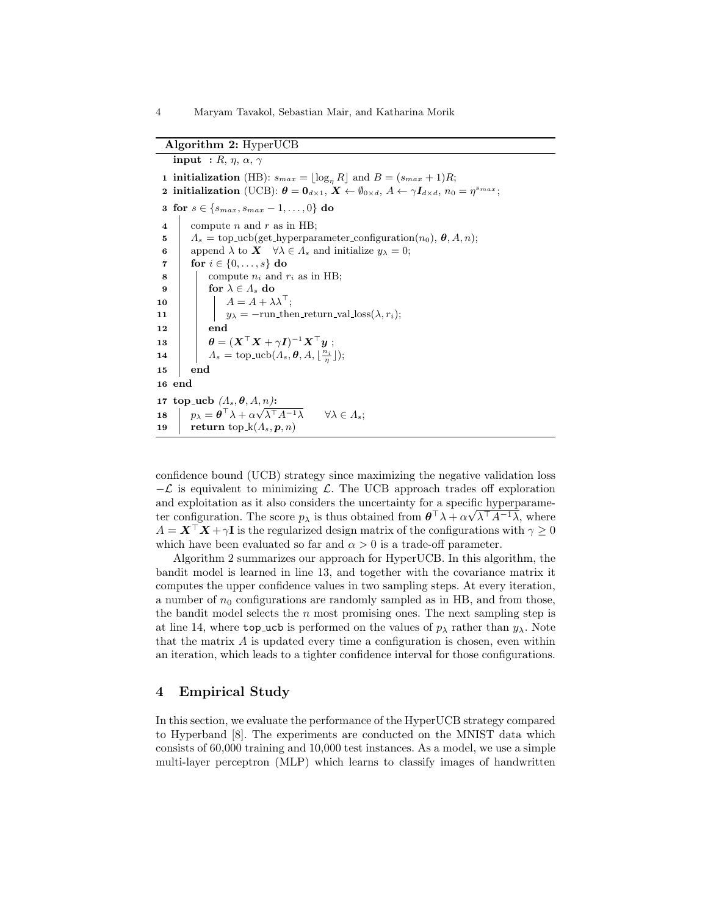#### Algorithm 2: HyperUCB

input :  $R, \eta, \alpha, \gamma$ 1 initialization (HB):  $s_{max} = \lfloor \log_n R \rfloor$  and  $B = (s_{max} + 1)R;$ 2 initialization (UCB):  $\boldsymbol{\theta} = \mathbf{0}_{d \times 1}$ ,  $\boldsymbol{X} \leftarrow \emptyset_{0 \times d}$ ,  $A \leftarrow \gamma \boldsymbol{I}_{d \times d}$ ,  $n_0 = \eta^{s_{max}}$ ; 3 for  $s \in \{s_{max}, s_{max} - 1, ..., 0\}$  do 4 compute n and r as in HB; 5  $\Lambda_s = \text{top\_ucb}(\text{get\_hyperparameter\_configuration}(n_0), \theta, A, n);$ 6 append  $\lambda$  to  $\mathbf{X} \quad \forall \lambda \in \Lambda_s$  and initialize  $y_\lambda = 0$ ; 7  $\sigma$  for  $i \in \{0, ..., s\}$  do 8 | compute  $n_i$  and  $r_i$  as in HB; 9 | for  $\lambda \in A_s$  do 10  $\parallel$   $A = A + \lambda \lambda^{T}$ ; 11 |  $y_{\lambda} = -\text{run\_then\_return\_val\_loss}(\lambda, r_i);$  $12$  end  $\begin{array}{ccc} \mathbf{13} & || & \theta = (\boldsymbol{X}^{\top} \boldsymbol{X} + \gamma \boldsymbol{I})^{-1} \boldsymbol{X}^{\top} \boldsymbol{y} \; ; \end{array}$ 14  $A_s = \text{top\_ucb}(A_s, \theta, A, \lfloor \frac{n_i}{\eta} \rfloor);$ 15 end 16 end 17 top\_ucb  $(A_s, \theta, A, n)$ : 18  $p_{\lambda} = \boldsymbol{\theta}^{\top} \lambda + \alpha$  $\forall \lambda \in \Lambda_s;$ 19 return top  $k(A_s, p, n)$ 

confidence bound (UCB) strategy since maximizing the negative validation loss  $-\mathcal{L}$  is equivalent to minimizing  $\mathcal{L}$ . The UCB approach trades off exploration and exploitation as it also considers the uncertainty for a specific hyperparameter configuration. The score  $p_{\lambda}$  is thus obtained from  $\theta^{\top} \lambda + \alpha \sqrt{\lambda^{\top} A^{-1} \lambda}$ , where  $A = X^{\dagger} X + \gamma I$  is the regularized design matrix of the configurations with  $\gamma \geq 0$ which have been evaluated so far and  $\alpha > 0$  is a trade-off parameter.

Algorithm 2 summarizes our approach for HyperUCB. In this algorithm, the bandit model is learned in line 13, and together with the covariance matrix it computes the upper confidence values in two sampling steps. At every iteration, a number of  $n_0$  configurations are randomly sampled as in HB, and from those, the bandit model selects the  $n$  most promising ones. The next sampling step is at line 14, where top ucb is performed on the values of  $p_{\lambda}$  rather than  $y_{\lambda}$ . Note that the matrix  $A$  is updated every time a configuration is chosen, even within an iteration, which leads to a tighter confidence interval for those configurations.

# 4 Empirical Study

In this section, we evaluate the performance of the HyperUCB strategy compared to Hyperband [8]. The experiments are conducted on the MNIST data which consists of 60,000 training and 10,000 test instances. As a model, we use a simple multi-layer perceptron (MLP) which learns to classify images of handwritten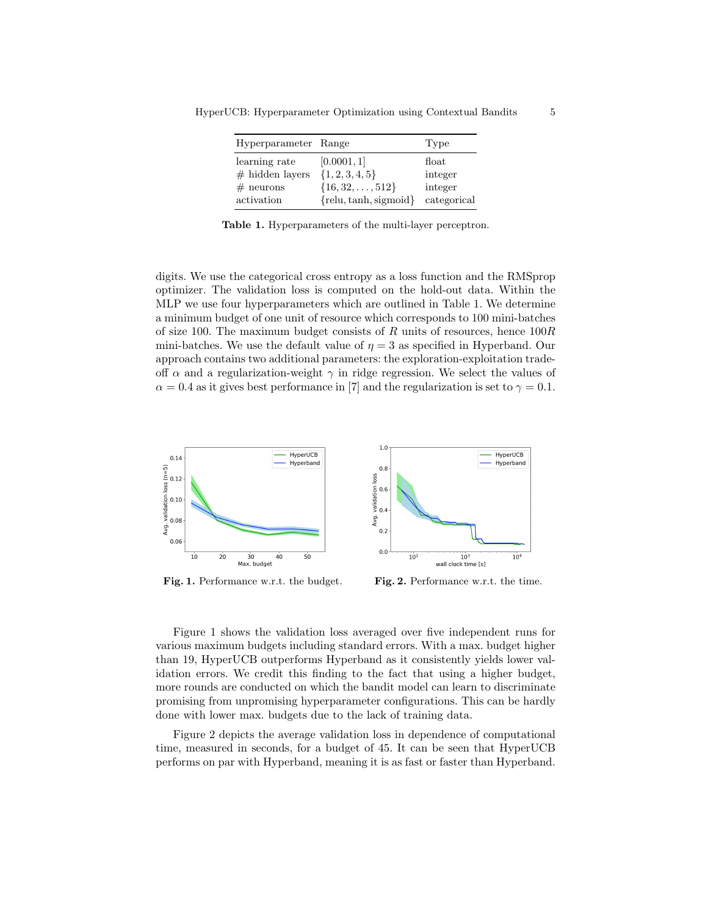| Hyperparameter Range |                           | Type              |
|----------------------|---------------------------|-------------------|
| learning rate        | [0.0001, 1]               | $_{\text{float}}$ |
| $#$ hidden layers    | $\{1, 2, 3, 4, 5\}$       | integer           |
| $#$ neurons          | $\{16, 32, \ldots, 512\}$ | integer           |
| activation           | ${relu, \tanh, sigmoid}$  | categorical       |

HyperUCB: Hyperparameter Optimization using Contextual Bandits 5

Table 1. Hyperparameters of the multi-layer perceptron.

digits. We use the categorical cross entropy as a loss function and the RMSprop optimizer. The validation loss is computed on the hold-out data. Within the MLP we use four hyperparameters which are outlined in Table 1. We determine a minimum budget of one unit of resource which corresponds to 100 mini-batches of size 100. The maximum budget consists of R units of resources, hence  $100R$ mini-batches. We use the default value of  $\eta = 3$  as specified in Hyperband. Our approach contains two additional parameters: the exploration-exploitation tradeoff  $\alpha$  and a regularization-weight  $\gamma$  in ridge regression. We select the values of  $\alpha = 0.4$  as it gives best performance in [7] and the regularization is set to  $\gamma = 0.1$ .



Fig. 1. Performance w.r.t. the budget. Fig. 2. Performance w.r.t. the time.

Figure 1 shows the validation loss averaged over five independent runs for various maximum budgets including standard errors. With a max. budget higher than 19, HyperUCB outperforms Hyperband as it consistently yields lower validation errors. We credit this finding to the fact that using a higher budget, more rounds are conducted on which the bandit model can learn to discriminate promising from unpromising hyperparameter configurations. This can be hardly done with lower max. budgets due to the lack of training data.

Figure 2 depicts the average validation loss in dependence of computational time, measured in seconds, for a budget of 45. It can be seen that HyperUCB performs on par with Hyperband, meaning it is as fast or faster than Hyperband.